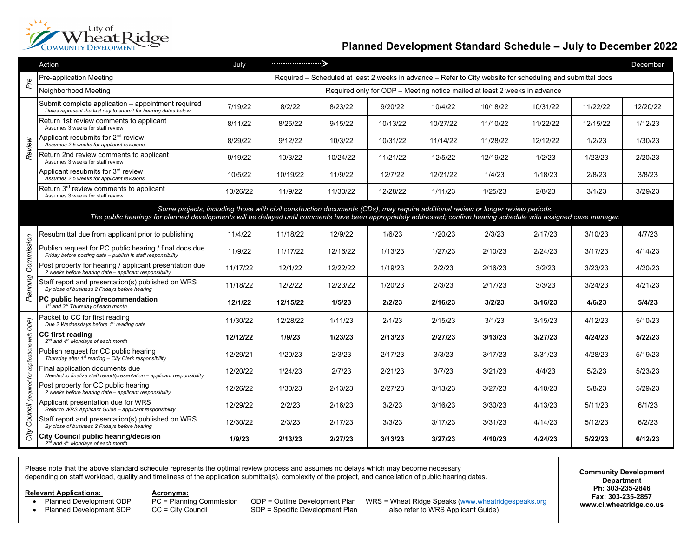

## **Planned Development Standard Schedule – July to December 2022**

|                                                                                                                                                                                                                                                                                                        | Action                                                                                                                 | July     |                                                                                                            |          |          |          |          |          |          | December |
|--------------------------------------------------------------------------------------------------------------------------------------------------------------------------------------------------------------------------------------------------------------------------------------------------------|------------------------------------------------------------------------------------------------------------------------|----------|------------------------------------------------------------------------------------------------------------|----------|----------|----------|----------|----------|----------|----------|
| Pre                                                                                                                                                                                                                                                                                                    | Pre-application Meeting                                                                                                |          | Required - Scheduled at least 2 weeks in advance - Refer to City website for scheduling and submittal docs |          |          |          |          |          |          |          |
|                                                                                                                                                                                                                                                                                                        | Neighborhood Meeting                                                                                                   |          | Required only for ODP - Meeting notice mailed at least 2 weeks in advance                                  |          |          |          |          |          |          |          |
| Review                                                                                                                                                                                                                                                                                                 | Submit complete application - appointment required<br>Dates represent the last day to submit for hearing dates below   | 7/19/22  | 8/2/22                                                                                                     | 8/23/22  | 9/20/22  | 10/4/22  | 10/18/22 | 10/31/22 | 11/22/22 | 12/20/22 |
|                                                                                                                                                                                                                                                                                                        | Return 1st review comments to applicant<br>Assumes 3 weeks for staff review                                            | 8/11/22  | 8/25/22                                                                                                    | 9/15/22  | 10/13/22 | 10/27/22 | 11/10/22 | 11/22/22 | 12/15/22 | 1/12/23  |
|                                                                                                                                                                                                                                                                                                        | Applicant resubmits for 2 <sup>nd</sup> review<br>Assumes 2.5 weeks for applicant revisions                            | 8/29/22  | 9/12/22                                                                                                    | 10/3/22  | 10/31/22 | 11/14/22 | 11/28/22 | 12/12/22 | 1/2/23   | 1/30/23  |
|                                                                                                                                                                                                                                                                                                        | Return 2nd review comments to applicant<br>Assumes 3 weeks for staff review                                            | 9/19/22  | 10/3/22                                                                                                    | 10/24/22 | 11/21/22 | 12/5/22  | 12/19/22 | 1/2/23   | 1/23/23  | 2/20/23  |
|                                                                                                                                                                                                                                                                                                        | Applicant resubmits for 3 <sup>rd</sup> review<br>Assumes 2.5 weeks for applicant revisions                            | 10/5/22  | 10/19/22                                                                                                   | 11/9/22  | 12/7/22  | 12/21/22 | 1/4/23   | 1/18/23  | 2/8/23   | 3/8/23   |
|                                                                                                                                                                                                                                                                                                        | Return 3 <sup>rd</sup> review comments to applicant<br>Assumes 3 weeks for staff review                                | 10/26/22 | 11/9/22                                                                                                    | 11/30/22 | 12/28/22 | 1/11/23  | 1/25/23  | 2/8/23   | 3/1/23   | 3/29/23  |
| Some projects, including those with civil construction documents (CDs), may require additional review or longer review periods.<br>The public hearings for planned developments will be delayed until comments have been appropriately addressed; confirm hearing schedule with assigned case manager. |                                                                                                                        |          |                                                                                                            |          |          |          |          |          |          |          |
| Commission<br>Planning                                                                                                                                                                                                                                                                                 | Resubmittal due from applicant prior to publishing                                                                     | 11/4/22  | 11/18/22                                                                                                   | 12/9/22  | 1/6/23   | 1/20/23  | 2/3/23   | 2/17/23  | 3/10/23  | 4/7/23   |
|                                                                                                                                                                                                                                                                                                        | Publish request for PC public hearing / final docs due<br>Friday before posting date - publish is staff responsibility | 11/9/22  | 11/17/22                                                                                                   | 12/16/22 | 1/13/23  | 1/27/23  | 2/10/23  | 2/24/23  | 3/17/23  | 4/14/23  |
|                                                                                                                                                                                                                                                                                                        | Post property for hearing / applicant presentation due<br>2 weeks before hearing date - applicant responsibility       | 11/17/22 | 12/1/22                                                                                                    | 12/22/22 | 1/19/23  | 2/2/23   | 2/16/23  | 3/2/23   | 3/23/23  | 4/20/23  |
|                                                                                                                                                                                                                                                                                                        | Staff report and presentation(s) published on WRS<br>By close of business 2 Fridays before hearing                     | 11/18/22 | 12/2/22                                                                                                    | 12/23/22 | 1/20/23  | 2/3/23   | 2/17/23  | 3/3/23   | 3/24/23  | 4/21/23  |
|                                                                                                                                                                                                                                                                                                        | PC public hearing/recommendation<br>1 <sup>st</sup> and 3 <sup>rd</sup> Thursday of each month                         | 12/1/22  | 12/15/22                                                                                                   | 1/5/23   | 2/2/23   | 2/16/23  | 3/2/23   | 3/16/23  | 4/6/23   | 5/4/23   |
| ODP)<br>applications with<br>đ<br>Council (required                                                                                                                                                                                                                                                    | Packet to CC for first reading<br>Due 2 Wednesdays before 1st reading date                                             | 11/30/22 | 12/28/22                                                                                                   | 1/11/23  | 2/1/23   | 2/15/23  | 3/1/23   | 3/15/23  | 4/12/23  | 5/10/23  |
|                                                                                                                                                                                                                                                                                                        | <b>CC first reading</b><br>2 <sup>nd</sup> and 4 <sup>th</sup> Mondays of each month                                   | 12/12/22 | 1/9/23                                                                                                     | 1/23/23  | 2/13/23  | 2/27/23  | 3/13/23  | 3/27/23  | 4/24/23  | 5/22/23  |
|                                                                                                                                                                                                                                                                                                        | Publish request for CC public hearing<br>Thursday after 1 <sup>st</sup> reading - City Clerk responsibility            | 12/29/21 | 1/20/23                                                                                                    | 2/3/23   | 2/17/23  | 3/3/23   | 3/17/23  | 3/31/23  | 4/28/23  | 5/19/23  |
|                                                                                                                                                                                                                                                                                                        | Final application documents due<br>Needed to finalize staff report/presentation - applicant responsibility             | 12/20/22 | 1/24/23                                                                                                    | 2/7/23   | 2/21/23  | 3/7/23   | 3/21/23  | 4/4/23   | 5/2/23   | 5/23/23  |
|                                                                                                                                                                                                                                                                                                        | Post property for CC public hearing<br>2 weeks before hearing date - applicant responsibility                          | 12/26/22 | 1/30/23                                                                                                    | 2/13/23  | 2/27/23  | 3/13/23  | 3/27/23  | 4/10/23  | 5/8/23   | 5/29/23  |
|                                                                                                                                                                                                                                                                                                        | Applicant presentation due for WRS<br>Refer to WRS Applicant Guide - applicant responsibility                          | 12/29/22 | 2/2/23                                                                                                     | 2/16/23  | 3/2/23   | 3/16/23  | 3/30/23  | 4/13/23  | 5/11/23  | 6/1/23   |
|                                                                                                                                                                                                                                                                                                        | Staff report and presentation(s) published on WRS<br>By close of business 2 Fridays before hearing                     | 12/30/22 | 2/3/23                                                                                                     | 2/17/23  | 3/3/23   | 3/17/23  | 3/31/23  | 4/14/23  | 5/12/23  | 6/2/23   |
| City                                                                                                                                                                                                                                                                                                   | City Council public hearing/decision<br>$2^{nd}$ and $4^{th}$ Mondays of each month                                    | 1/9/23   | 2/13/23                                                                                                    | 2/27/23  | 3/13/23  | 3/27/23  | 4/10/23  | 4/24/23  | 5/22/23  | 6/12/23  |

Please note that the above standard schedule represents the optimal review process and assumes no delays which may become necessary depending on staff workload, quality and timeliness of the application submittal(s), complexity of the project, and cancellation of public hearing dates.

- **Relevant Applications: Acronyms:**<br>• Planned Development ODP PC = Planning Commission
	-

• Planned Development ODP PC = Planning Commission ODP = Outline Development Plan WRS = Wheat Ridge Speaks [\(www.wheatridgespeaks.org](http://www.wheatridgespeaks.org/)<br>• Planned Development SDP CC = City Council SDP = Specific Development Plan also refer to also refer to WRS Applicant Guide)

**Community Development Department Ph: 303-235-2846 Fax: 303-235-2857 www.ci.wheatridge.co.us**